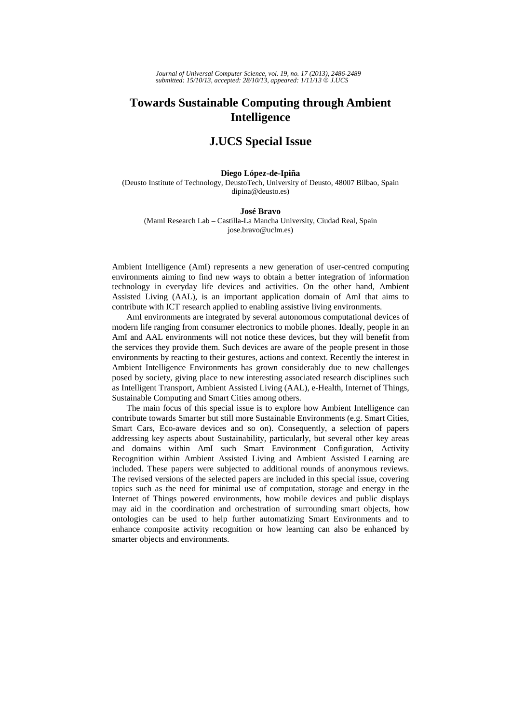## **Towards Sustainable Computing through Ambient Intelligence**

## **J.UCS Special Issue**

## **Diego López-de-Ipiña**

(Deusto Institute of Technology, DeustoTech, University of Deusto, 48007 Bilbao, Spain dipina@deusto.es)

## **José Bravo**

(MamI Research Lab – Castilla-La Mancha University, Ciudad Real, Spain jose.bravo@uclm.es)

Ambient Intelligence (AmI) represents a new generation of user-centred computing environments aiming to find new ways to obtain a better integration of information technology in everyday life devices and activities. On the other hand, Ambient Assisted Living (AAL), is an important application domain of AmI that aims to contribute with ICT research applied to enabling assistive living environments.

AmI environments are integrated by several autonomous computational devices of modern life ranging from consumer electronics to mobile phones. Ideally, people in an AmI and AAL environments will not notice these devices, but they will benefit from the services they provide them. Such devices are aware of the people present in those environments by reacting to their gestures, actions and context. Recently the interest in Ambient Intelligence Environments has grown considerably due to new challenges posed by society, giving place to new interesting associated research disciplines such as Intelligent Transport, Ambient Assisted Living (AAL), e-Health, Internet of Things, Sustainable Computing and Smart Cities among others.

The main focus of this special issue is to explore how Ambient Intelligence can contribute towards Smarter but still more Sustainable Environments (e.g. Smart Cities, Smart Cars, Eco-aware devices and so on). Consequently, a selection of papers addressing key aspects about Sustainability, particularly, but several other key areas and domains within AmI such Smart Environment Configuration, Activity Recognition within Ambient Assisted Living and Ambient Assisted Learning are included. These papers were subjected to additional rounds of anonymous reviews. The revised versions of the selected papers are included in this special issue, covering topics such as the need for minimal use of computation, storage and energy in the Internet of Things powered environments, how mobile devices and public displays may aid in the coordination and orchestration of surrounding smart objects, how ontologies can be used to help further automatizing Smart Environments and to enhance composite activity recognition or how learning can also be enhanced by smarter objects and environments.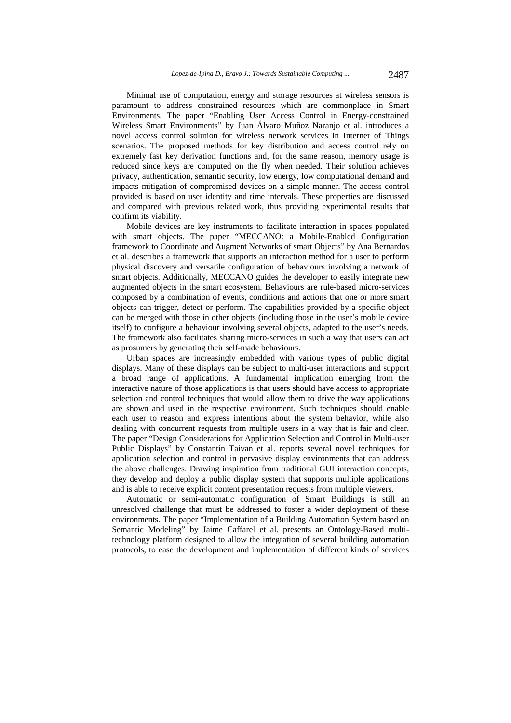Minimal use of computation, energy and storage resources at wireless sensors is paramount to address constrained resources which are commonplace in Smart Environments. The paper "Enabling User Access Control in Energy-constrained Wireless Smart Environments" by Juan Álvaro Muñoz Naranjo et al. introduces a novel access control solution for wireless network services in Internet of Things scenarios. The proposed methods for key distribution and access control rely on extremely fast key derivation functions and, for the same reason, memory usage is reduced since keys are computed on the fly when needed. Their solution achieves privacy, authentication, semantic security, low energy, low computational demand and impacts mitigation of compromised devices on a simple manner. The access control provided is based on user identity and time intervals. These properties are discussed and compared with previous related work, thus providing experimental results that confirm its viability.

Mobile devices are key instruments to facilitate interaction in spaces populated with smart objects. The paper "MECCANO: a Mobile-Enabled Configuration framework to Coordinate and Augment Networks of smart Objects" by Ana Bernardos et al. describes a framework that supports an interaction method for a user to perform physical discovery and versatile configuration of behaviours involving a network of smart objects. Additionally, MECCANO guides the developer to easily integrate new augmented objects in the smart ecosystem. Behaviours are rule-based micro-services composed by a combination of events, conditions and actions that one or more smart objects can trigger, detect or perform. The capabilities provided by a specific object can be merged with those in other objects (including those in the user's mobile device itself) to configure a behaviour involving several objects, adapted to the user's needs. The framework also facilitates sharing micro-services in such a way that users can act as prosumers by generating their self-made behaviours.

Urban spaces are increasingly embedded with various types of public digital displays. Many of these displays can be subject to multi-user interactions and support a broad range of applications. A fundamental implication emerging from the interactive nature of those applications is that users should have access to appropriate selection and control techniques that would allow them to drive the way applications are shown and used in the respective environment. Such techniques should enable each user to reason and express intentions about the system behavior, while also dealing with concurrent requests from multiple users in a way that is fair and clear. The paper "Design Considerations for Application Selection and Control in Multi-user Public Displays" by Constantin Taivan et al. reports several novel techniques for application selection and control in pervasive display environments that can address the above challenges. Drawing inspiration from traditional GUI interaction concepts, they develop and deploy a public display system that supports multiple applications and is able to receive explicit content presentation requests from multiple viewers.

Automatic or semi-automatic configuration of Smart Buildings is still an unresolved challenge that must be addressed to foster a wider deployment of these environments. The paper "Implementation of a Building Automation System based on Semantic Modeling" by Jaime Caffarel et al. presents an Ontology-Based multitechnology platform designed to allow the integration of several building automation protocols, to ease the development and implementation of different kinds of services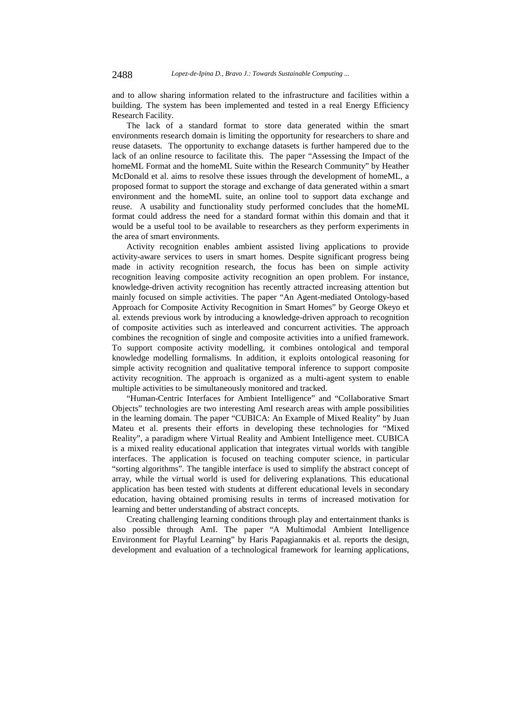and to allow sharing information related to the infrastructure and facilities within a building. The system has been implemented and tested in a real Energy Efficiency Research Facility.

The lack of a standard format to store data generated within the smart environments research domain is limiting the opportunity for researchers to share and reuse datasets. The opportunity to exchange datasets is further hampered due to the lack of an online resource to facilitate this. The paper "Assessing the Impact of the homeML Format and the homeML Suite within the Research Community" by Heather McDonald et al. aims to resolve these issues through the development of homeML, a proposed format to support the storage and exchange of data generated within a smart environment and the homeML suite, an online tool to support data exchange and reuse. A usability and functionality study performed concludes that the homeML format could address the need for a standard format within this domain and that it would be a useful tool to be available to researchers as they perform experiments in the area of smart environments.

Activity recognition enables ambient assisted living applications to provide activity-aware services to users in smart homes. Despite significant progress being made in activity recognition research, the focus has been on simple activity recognition leaving composite activity recognition an open problem. For instance, knowledge-driven activity recognition has recently attracted increasing attention but mainly focused on simple activities. The paper "An Agent-mediated Ontology-based Approach for Composite Activity Recognition in Smart Homes" by George Okeyo et al. extends previous work by introducing a knowledge-driven approach to recognition of composite activities such as interleaved and concurrent activities. The approach combines the recognition of single and composite activities into a unified framework. To support composite activity modelling, it combines ontological and temporal knowledge modelling formalisms. In addition, it exploits ontological reasoning for simple activity recognition and qualitative temporal inference to support composite activity recognition. The approach is organized as a multi-agent system to enable multiple activities to be simultaneously monitored and tracked.

"Human-Centric Interfaces for Ambient Intelligence" and "Collaborative Smart Objects" technologies are two interesting AmI research areas with ample possibilities in the learning domain. The paper "CUBICA: An Example of Mixed Reality" by Juan Mateu et al. presents their efforts in developing these technologies for "Mixed Reality", a paradigm where Virtual Reality and Ambient Intelligence meet. CUBICA is a mixed reality educational application that integrates virtual worlds with tangible interfaces. The application is focused on teaching computer science, in particular "sorting algorithms". The tangible interface is used to simplify the abstract concept of array, while the virtual world is used for delivering explanations. This educational application has been tested with students at different educational levels in secondary education, having obtained promising results in terms of increased motivation for learning and better understanding of abstract concepts.

Creating challenging learning conditions through play and entertainment thanks is also possible through AmI. The paper "A Multimodal Ambient Intelligence Environment for Playful Learning" by Haris Papagiannakis et al. reports the design, development and evaluation of a technological framework for learning applications,